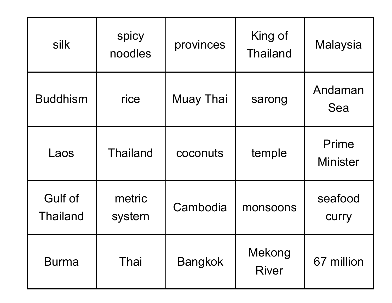| silk                       | spicy<br>noodles | provinces        | King of<br><b>Thailand</b> | <b>Malaysia</b>          |
|----------------------------|------------------|------------------|----------------------------|--------------------------|
| <b>Buddhism</b>            | rice             | <b>Muay Thai</b> | sarong                     | Andaman<br>Sea           |
| Laos                       | <b>Thailand</b>  | coconuts         | temple                     | Prime<br><b>Minister</b> |
| Gulf of<br><b>Thailand</b> | metric<br>system | Cambodia         | monsoons                   | seafood<br><b>CUITY</b>  |
| <b>Burma</b>               | Thai             | <b>Bangkok</b>   | Mekong<br><b>River</b>     | 67 million               |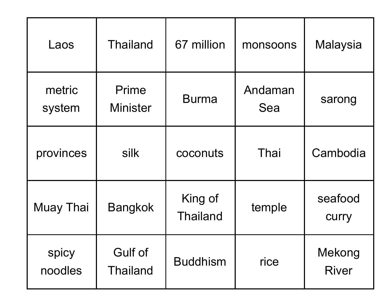| Laos             | <b>Thailand</b>            | 67 million                 | monsoons       | <b>Malaysia</b>         |
|------------------|----------------------------|----------------------------|----------------|-------------------------|
| metric<br>system | Prime<br><b>Minister</b>   | <b>Burma</b>               | Andaman<br>Sea | sarong                  |
| provinces        | silk                       | coconuts                   | Thai           | Cambodia                |
| Muay Thai        | <b>Bangkok</b>             | King of<br><b>Thailand</b> | temple         | seafood<br><b>CUITY</b> |
| spicy<br>noodles | Gulf of<br><b>Thailand</b> | <b>Buddhism</b>            | rice           | Mekong<br><b>River</b>  |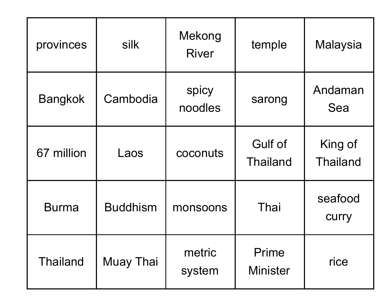| provinces       | silk             | Mekong<br><b>River</b> | temple                            | Malaysia                   |
|-----------------|------------------|------------------------|-----------------------------------|----------------------------|
| <b>Bangkok</b>  | Cambodia         | spicy<br>noodles       | sarong                            | Andaman<br>Sea             |
| 67 million      | Laos             | coconuts               | <b>Gulf of</b><br><b>Thailand</b> | King of<br><b>Thailand</b> |
| <b>Burma</b>    | <b>Buddhism</b>  | monsoons               | Thai                              | seafood<br><b>CUITY</b>    |
| <b>Thailand</b> | <b>Muay Thai</b> | metric<br>system       | Prime<br><b>Minister</b>          | rice                       |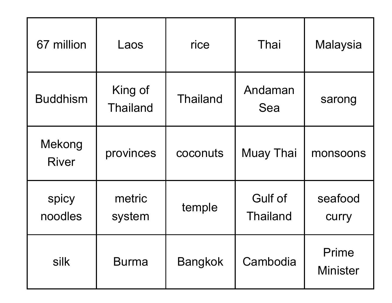| 67 million             | Laos                       | rice            | Thai                       | <b>Malaysia</b>          |
|------------------------|----------------------------|-----------------|----------------------------|--------------------------|
| <b>Buddhism</b>        | King of<br><b>Thailand</b> | <b>Thailand</b> | Andaman<br>Sea             | sarong                   |
| Mekong<br><b>River</b> | provinces                  | coconuts        | <b>Muay Thai</b>           | monsoons                 |
| spicy<br>noodles       | metric<br>system           | temple          | Gulf of<br><b>Thailand</b> | seafood<br>curry         |
| silk                   | <b>Burma</b>               | <b>Bangkok</b>  | Cambodia                   | Prime<br><b>Minister</b> |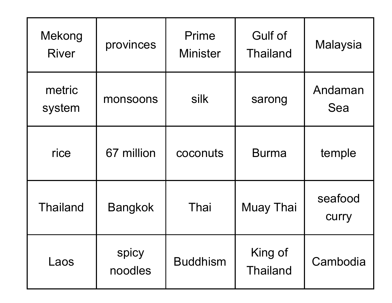| Mekong<br><b>River</b> | provinces        | Prime<br><b>Minister</b> | <b>Gulf of</b><br><b>Thailand</b> | <b>Malaysia</b>         |
|------------------------|------------------|--------------------------|-----------------------------------|-------------------------|
| metric<br>system       | monsoons         | silk                     | sarong                            | Andaman<br>Sea          |
| rice                   | 67 million       | coconuts                 | <b>Burma</b>                      | temple                  |
| <b>Thailand</b>        | <b>Bangkok</b>   | Thai                     | <b>Muay Thai</b>                  | seafood<br><b>CUITY</b> |
| Laos                   | spicy<br>noodles | <b>Buddhism</b>          | King of<br><b>Thailand</b>        | Cambodia                |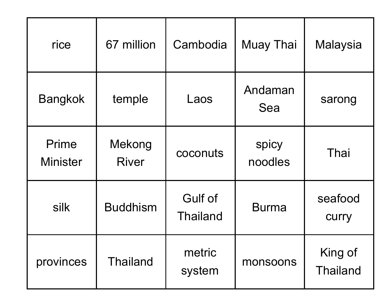| rice                     | 67 million             | Cambodia                          | <b>Muay Thai</b> | <b>Malaysia</b>            |
|--------------------------|------------------------|-----------------------------------|------------------|----------------------------|
| <b>Bangkok</b>           | temple                 | Laos                              | Andaman<br>Sea   | sarong                     |
| Prime<br><b>Minister</b> | Mekong<br><b>River</b> | coconuts                          | spicy<br>noodles | Thai                       |
| silk                     | <b>Buddhism</b>        | <b>Gulf of</b><br><b>Thailand</b> | <b>Burma</b>     | seafood<br><b>CUITY</b>    |
| provinces                | <b>Thailand</b>        | metric<br>system                  | monsoons         | King of<br><b>Thailand</b> |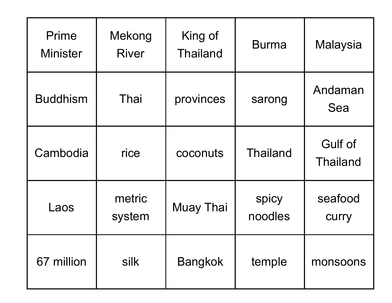| Prime<br><b>Minister</b> | Mekong<br><b>River</b> | King of<br><b>Thailand</b> | <b>Burma</b>     | <b>Malaysia</b>                   |
|--------------------------|------------------------|----------------------------|------------------|-----------------------------------|
| <b>Buddhism</b>          | Thai                   | provinces                  | sarong           | Andaman<br>Sea                    |
| Cambodia                 | rice                   | coconuts                   | <b>Thailand</b>  | <b>Gulf of</b><br><b>Thailand</b> |
| Laos                     | metric<br>system       | <b>Muay Thai</b>           | spicy<br>noodles | seafood<br><b>CUITY</b>           |
| 67 million               | silk                   | <b>Bangkok</b>             | temple           | monsoons                          |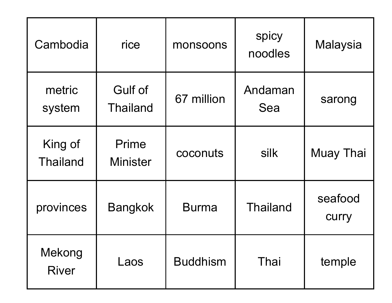| Cambodia                   | rice                              | monsoons        | spicy<br>noodles | <b>Malaysia</b>         |
|----------------------------|-----------------------------------|-----------------|------------------|-------------------------|
| metric<br>system           | <b>Gulf of</b><br><b>Thailand</b> | 67 million      | Andaman<br>Sea   | sarong                  |
| King of<br><b>Thailand</b> | Prime<br><b>Minister</b>          | coconuts        | silk             | <b>Muay Thai</b>        |
| provinces                  | <b>Bangkok</b>                    | <b>Burma</b>    | <b>Thailand</b>  | seafood<br><b>CUITY</b> |
| Mekong<br><b>River</b>     | Laos                              | <b>Buddhism</b> | Thai             | temple                  |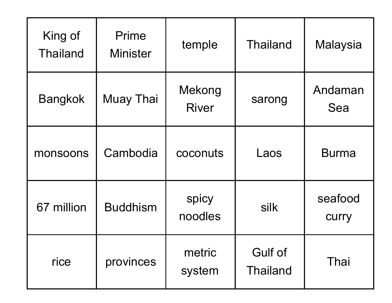| King of<br><b>Thailand</b> | Prime<br><b>Minister</b> | temple                 | <b>Thailand</b>                   | <b>Malaysia</b>         |
|----------------------------|--------------------------|------------------------|-----------------------------------|-------------------------|
| <b>Bangkok</b>             | <b>Muay Thai</b>         | Mekong<br><b>River</b> | sarong                            | Andaman<br>Sea          |
| monsoons                   | Cambodia                 | coconuts               | Laos                              | <b>Burma</b>            |
| 67 million                 | <b>Buddhism</b>          | spicy<br>noodles       | silk                              | seafood<br><b>CUITY</b> |
| rice                       | provinces                | metric<br>system       | <b>Gulf of</b><br><b>Thailand</b> | Thai                    |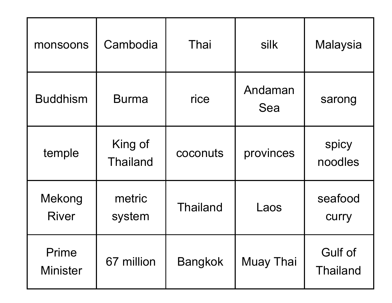| monsoons                 | Cambodia                   | Thai            | silk           | <b>Malaysia</b>                   |
|--------------------------|----------------------------|-----------------|----------------|-----------------------------------|
| <b>Buddhism</b>          | <b>Burma</b>               | rice            | Andaman<br>Sea | sarong                            |
| temple                   | King of<br><b>Thailand</b> | coconuts        | provinces      | spicy<br>noodles                  |
| Mekong<br><b>River</b>   | metric<br>system           | <b>Thailand</b> | Laos           | seafood<br><b>CUITY</b>           |
| Prime<br><b>Minister</b> | 67 million                 | <b>Bangkok</b>  | Muay Thai      | <b>Gulf of</b><br><b>Thailand</b> |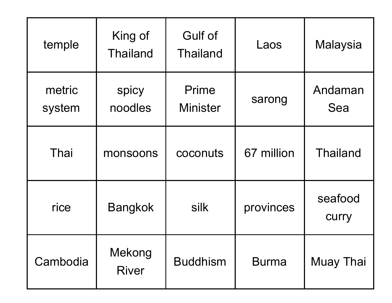| temple           | King of<br><b>Thailand</b> | <b>Gulf of</b><br><b>Thailand</b> | Laos         | <b>Malaysia</b>         |
|------------------|----------------------------|-----------------------------------|--------------|-------------------------|
| metric<br>system | spicy<br>noodles           | Prime<br><b>Minister</b>          | sarong       | Andaman<br>Sea          |
| Thai             | monsoons                   | coconuts                          | 67 million   | <b>Thailand</b>         |
| rice             | <b>Bangkok</b>             | silk                              | provinces    | seafood<br><b>CUITY</b> |
| Cambodia         | Mekong<br><b>River</b>     | <b>Buddhism</b>                   | <b>Burma</b> | Muay Thai               |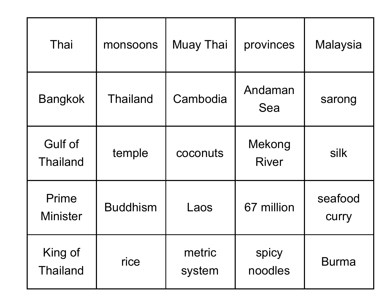| Thai                              | monsoons        | <b>Muay Thai</b> | provinces              | Malaysia                |
|-----------------------------------|-----------------|------------------|------------------------|-------------------------|
| <b>Bangkok</b>                    | <b>Thailand</b> | Cambodia         | Andaman<br>Sea         | sarong                  |
| <b>Gulf of</b><br><b>Thailand</b> | temple          | coconuts         | Mekong<br><b>River</b> | silk                    |
| <b>Prime</b><br><b>Minister</b>   | <b>Buddhism</b> | Laos             | 67 million             | seafood<br><b>CUITY</b> |
| King of<br><b>Thailand</b>        | rice            | metric<br>system | spicy<br>noodles       | <b>Burma</b>            |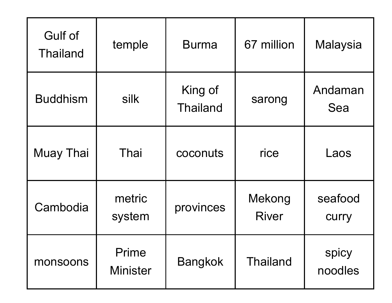| <b>Gulf of</b><br><b>Thailand</b> | temple                   | <b>Burma</b>               | 67 million             | Malaysia                |
|-----------------------------------|--------------------------|----------------------------|------------------------|-------------------------|
| <b>Buddhism</b>                   | silk                     | King of<br><b>Thailand</b> | sarong                 | Andaman<br>Sea          |
| <b>Muay Thai</b>                  | Thai                     | coconuts                   | rice                   | Laos                    |
| Cambodia                          | metric<br>system         | provinces                  | Mekong<br><b>River</b> | seafood<br><b>CUITY</b> |
| monsoons                          | Prime<br><b>Minister</b> | <b>Bangkok</b>             | <b>Thailand</b>        | spicy<br>noodles        |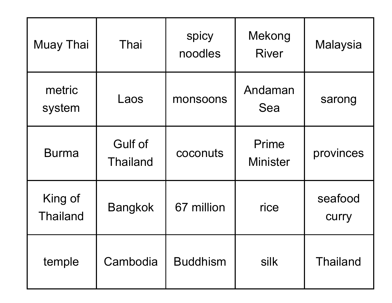| <b>Muay Thai</b>           | Thai                              | spicy<br>noodles | Mekong<br><b>River</b>   | <b>Malaysia</b>  |
|----------------------------|-----------------------------------|------------------|--------------------------|------------------|
| metric<br>system           | Laos                              | monsoons         | Andaman<br>Sea           | sarong           |
| <b>Burma</b>               | <b>Gulf of</b><br><b>Thailand</b> | coconuts         | Prime<br><b>Minister</b> | provinces        |
| King of<br><b>Thailand</b> | <b>Bangkok</b>                    | 67 million       | rice                     | seafood<br>curry |
| temple                     | Cambodia                          | <b>Buddhism</b>  | silk                     | <b>Thailand</b>  |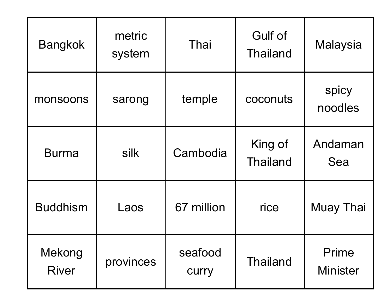| <b>Bangkok</b>         | metric<br>system | Thai                    | Gulf of<br><b>Thailand</b> | <b>Malaysia</b>          |
|------------------------|------------------|-------------------------|----------------------------|--------------------------|
| monsoons               | sarong           | temple                  | coconuts                   | spicy<br>noodles         |
| <b>Burma</b>           | silk             | Cambodia                | King of<br><b>Thailand</b> | Andaman<br>Sea           |
| <b>Buddhism</b>        | Laos             | 67 million              | rice                       | <b>Muay Thai</b>         |
| Mekong<br><b>River</b> | provinces        | seafood<br><b>CUITY</b> | <b>Thailand</b>            | Prime<br><b>Minister</b> |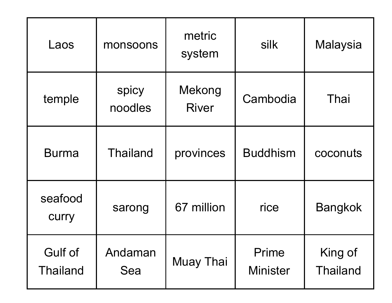| Laos                       | monsoons         | metric<br>system       | silk                     | Malaysia                   |
|----------------------------|------------------|------------------------|--------------------------|----------------------------|
| temple                     | spicy<br>noodles | Mekong<br><b>River</b> | Cambodia                 | Thai                       |
| <b>Burma</b>               | <b>Thailand</b>  | provinces              | <b>Buddhism</b>          | coconuts                   |
| seafood<br>curry           | sarong           | 67 million             | rice                     | <b>Bangkok</b>             |
| Gulf of<br><b>Thailand</b> | Andaman<br>Sea   | Muay Thai              | Prime<br><b>Minister</b> | King of<br><b>Thailand</b> |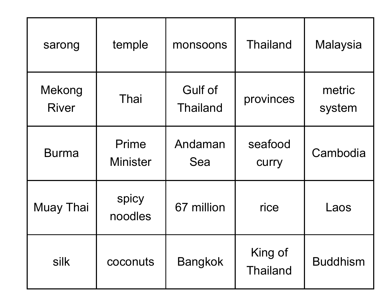| sarong                 | temple                   | monsoons                          | <b>Thailand</b>            | <b>Malaysia</b>  |
|------------------------|--------------------------|-----------------------------------|----------------------------|------------------|
| Mekong<br><b>River</b> | Thai                     | <b>Gulf of</b><br><b>Thailand</b> | provinces                  | metric<br>system |
| <b>Burma</b>           | Prime<br><b>Minister</b> | Andaman<br>Sea                    | seafood<br>curry           | Cambodia         |
| <b>Muay Thai</b>       | spicy<br>noodles         | 67 million                        | rice                       | Laos             |
| silk                   | coconuts                 | <b>Bangkok</b>                    | King of<br><b>Thailand</b> | <b>Buddhism</b>  |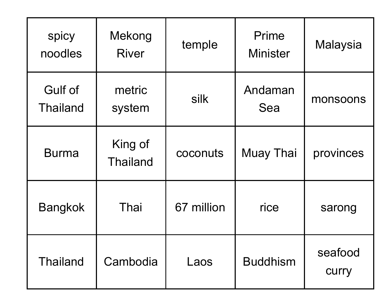| spicy<br>noodles                  | Mekong<br><b>River</b>     | temple     | Prime<br><b>Minister</b> | <b>Malaysia</b>         |
|-----------------------------------|----------------------------|------------|--------------------------|-------------------------|
| <b>Gulf of</b><br><b>Thailand</b> | metric<br>system           | silk       | Andaman<br>Sea           | monsoons                |
| <b>Burma</b>                      | King of<br><b>Thailand</b> | coconuts   | <b>Muay Thai</b>         | provinces               |
| <b>Bangkok</b>                    | Thai                       | 67 million | rice                     | sarong                  |
| <b>Thailand</b>                   | Cambodia                   | Laos       | <b>Buddhism</b>          | seafood<br><b>CUITY</b> |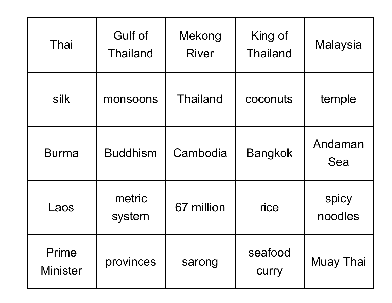| Thai                     | Gulf of<br><b>Thailand</b> | Mekong<br><b>River</b> | King of<br><b>Thailand</b> | Malaysia         |
|--------------------------|----------------------------|------------------------|----------------------------|------------------|
| silk                     | monsoons                   | <b>Thailand</b>        | coconuts                   | temple           |
| <b>Burma</b>             | <b>Buddhism</b>            | Cambodia               | <b>Bangkok</b>             | Andaman<br>Sea   |
| Laos                     | metric<br>system           | 67 million             | rice                       | spicy<br>noodles |
| Prime<br><b>Minister</b> | provinces                  | sarong                 | seafood<br><b>CUITY</b>    | <b>Muay Thai</b> |